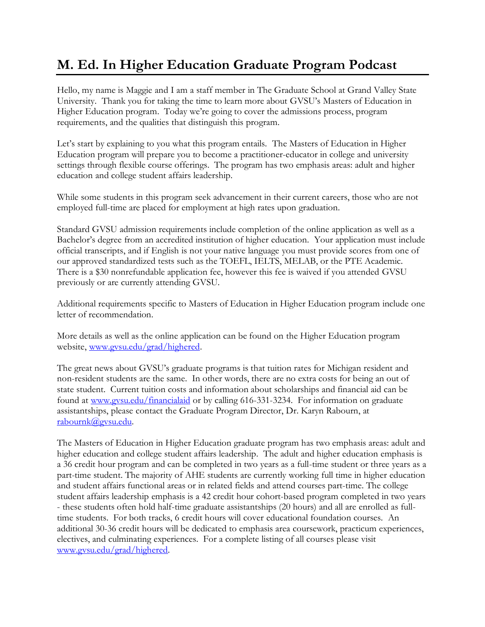## **M. Ed. In Higher Education Graduate Program Podcast**

Hello, my name is Maggie and I am a staff member in The Graduate School at Grand Valley State University. Thank you for taking the time to learn more about GVSU's Masters of Education in Higher Education program. Today we're going to cover the admissions process, program requirements, and the qualities that distinguish this program.

Let's start by explaining to you what this program entails. The Masters of Education in Higher Education program will prepare you to become a practitioner-educator in college and university settings through flexible course offerings. The program has two emphasis areas: adult and higher education and college student affairs leadership.

While some students in this program seek advancement in their current careers, those who are not employed full-time are placed for employment at high rates upon graduation.

Standard GVSU admission requirements include completion of the online application as well as a Bachelor's degree from an accredited institution of higher education. Your application must include official transcripts, and if English is not your native language you must provide scores from one of our approved standardized tests such as the TOEFL, IELTS, MELAB, or the PTE Academic. There is a \$30 nonrefundable application fee, however this fee is waived if you attended GVSU previously or are currently attending GVSU.

Additional requirements specific to Masters of Education in Higher Education program include one letter of recommendation.

More details as well as the online application can be found on the Higher Education program website, www.gysu.edu/grad/highered.

The great news about GVSU's graduate programs is that tuition rates for Michigan resident and non-resident students are the same. In other words, there are no extra costs for being an out of state student. Current tuition costs and information about scholarships and financial aid can be found at [www.gvsu.edu/financialaid](file:///C:/Users/stekelse/AppData/Local/Microsoft/Windows/Temporary%20Internet%20Files/Content.Outlook/IN0IFSSI/www.gvsu.edu/financialaid) or by calling 616-331-3234. For information on graduate assistantships, please contact the Graduate Program Director, Dr. Karyn Rabourn, at [rabournk@gvsu.edu.](mailto:rabournk@gvsu.edu)

The Masters of Education in Higher Education graduate program has two emphasis areas: adult and higher education and college student affairs leadership. The adult and higher education emphasis is a 36 credit hour program and can be completed in two years as a full-time student or three years as a part-time student. The majority of AHE students are currently working full time in higher education and student affairs functional areas or in related fields and attend courses part-time. The college student affairs leadership emphasis is a 42 credit hour cohort-based program completed in two years - these students often hold half-time graduate assistantships (20 hours) and all are enrolled as fulltime students. For both tracks, 6 credit hours will cover educational foundation courses. An additional 30-36 credit hours will be dedicated to emphasis area coursework, practicum experiences, electives, and culminating experiences. For a complete listing of all courses please visit [www.gvsu.edu/grad/highered.](http://www.gvsu.edu/grad/highered)